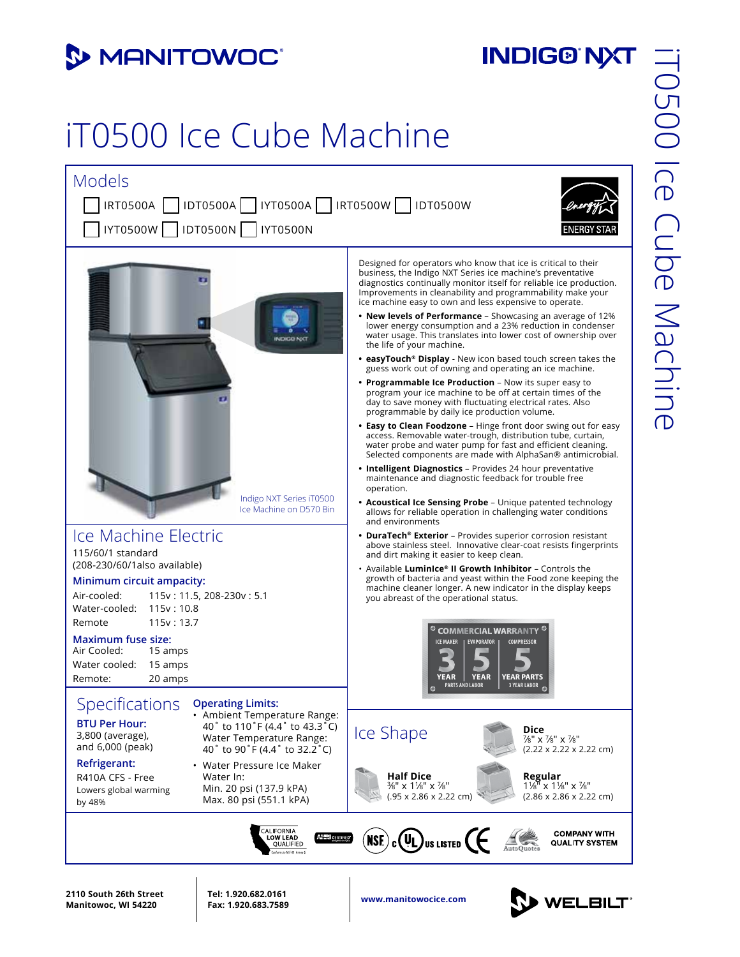#### **3 MANITOWOC**

## **INDIG®'NXT**

# iT0500 Ice Cube Machine



**www.manitowocice.com 2110 South 26th Street Manitowoc, WI 54220**

**Tel: 1.920.682.0161 Fax: 1.920.683.7589**